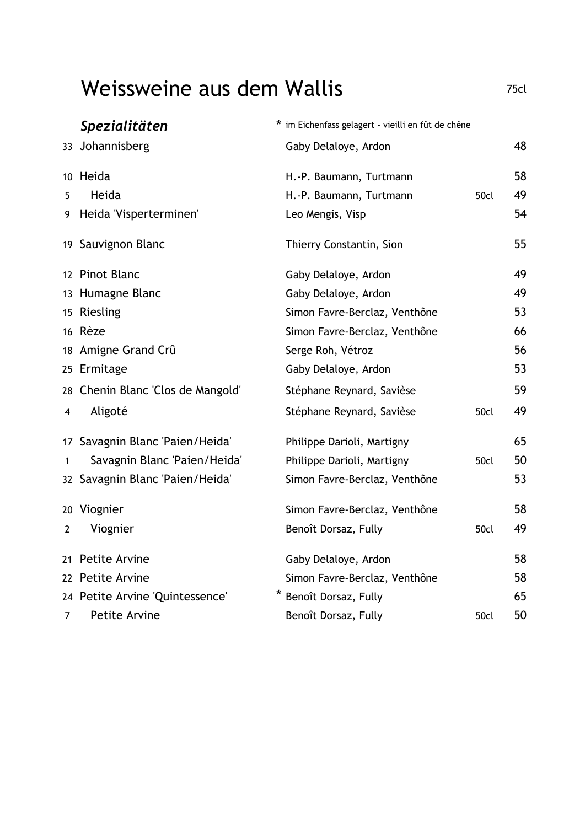## Weissweine aus dem Wallis

|                | Spezialitäten                     | * im Eichenfass gelagert - vieilli en fût de chêne |      |    |
|----------------|-----------------------------------|----------------------------------------------------|------|----|
|                | 33 Johannisberg                   | Gaby Delaloye, Ardon                               |      | 48 |
|                | 10 Heida                          | H.-P. Baumann, Turtmann                            |      | 58 |
| 5              | Heida                             | H.-P. Baumann, Turtmann                            | 50cl | 49 |
| 9              | Heida 'Visperterminen'            | Leo Mengis, Visp                                   |      | 54 |
|                | 19 Sauvignon Blanc                | Thierry Constantin, Sion                           |      | 55 |
|                | 12 Pinot Blanc                    | Gaby Delaloye, Ardon                               |      | 49 |
|                | 13 Humagne Blanc                  | Gaby Delaloye, Ardon                               |      | 49 |
|                | 15 Riesling                       | Simon Favre-Berclaz, Venthône                      |      | 53 |
|                | 16 Rèze                           | Simon Favre-Berclaz, Venthône                      |      | 66 |
|                | 18 Amigne Grand Crû               | Serge Roh, Vétroz                                  |      | 56 |
|                | 25 Ermitage                       | Gaby Delaloye, Ardon                               |      | 53 |
|                | 28 Chenin Blanc 'Clos de Mangold' | Stéphane Reynard, Savièse                          |      | 59 |
| 4              | Aligoté                           | Stéphane Reynard, Savièse                          | 50cl | 49 |
|                | 17 Savagnin Blanc 'Paien/Heida'   | Philippe Darioli, Martigny                         |      | 65 |
| 1              | Savagnin Blanc 'Paien/Heida'      | Philippe Darioli, Martigny                         | 50cl | 50 |
|                | 32 Savagnin Blanc 'Paien/Heida'   | Simon Favre-Berclaz, Venthône                      |      | 53 |
|                | 20 Viognier                       | Simon Favre-Berclaz, Venthône                      |      | 58 |
| $\overline{2}$ | Viognier                          | Benoît Dorsaz, Fully                               | 50cl | 49 |
| 21             | Petite Arvine                     | Gaby Delaloye, Ardon                               |      | 58 |
|                | 22 Petite Arvine                  | Simon Favre-Berclaz, Venthône                      |      | 58 |
|                | 24 Petite Arvine 'Quintessence'   | Benoît Dorsaz, Fully                               |      | 65 |
| 7              | Petite Arvine                     | Benoît Dorsaz, Fully                               | 50cl | 50 |

75cl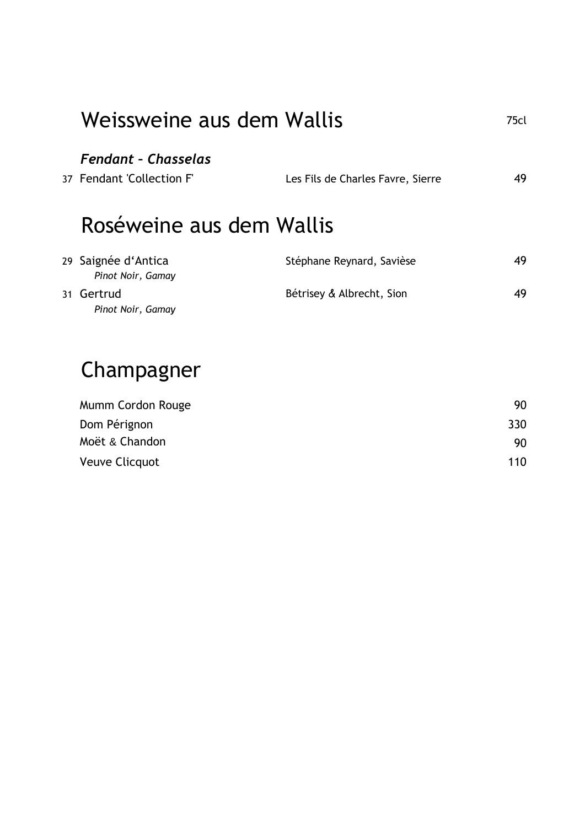| Weissweine aus dem Wallis                               |                                   | 75cl |  |
|---------------------------------------------------------|-----------------------------------|------|--|
| <b>Fendant - Chasselas</b><br>37 Fendant 'Collection F' | Les Fils de Charles Favre, Sierre | 49   |  |
| Roséweine aus dem Wallis                                |                                   |      |  |
| 29 Saignée d'Antica<br>Pinot Noir, Gamay                | Stéphane Reynard, Savièse         | 49   |  |
| 31 Gertrud<br>Pinot Noir, Gamay                         | Bétrisey & Albrecht, Sion         | 49   |  |
| Champagner                                              |                                   |      |  |

| Mumm Cordon Rouge     | 90  |
|-----------------------|-----|
| Dom Pérignon          | 330 |
| Moët & Chandon        | 90  |
| <b>Veuve Clicquot</b> | 110 |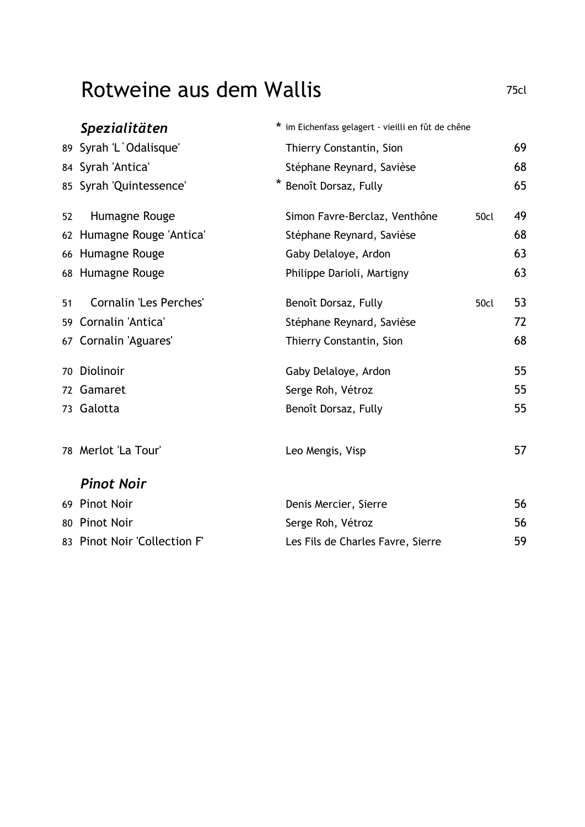## Rotweine aus dem Wallis

|    | Spezialitäten                 | * im Eichenfass gelagert - vieilli en fût de chêne |      |    |
|----|-------------------------------|----------------------------------------------------|------|----|
|    | 89 Syrah 'L'Odalisque'        | Thierry Constantin, Sion                           |      | 69 |
|    | 84 Syrah 'Antica'             | Stéphane Reynard, Savièse                          |      | 68 |
|    | 85 Syrah 'Quintessence'       | Benoît Dorsaz, Fully                               |      | 65 |
| 52 | Humagne Rouge                 | Simon Favre-Berclaz, Venthône                      | 50cl | 49 |
|    | 62 Humagne Rouge 'Antica'     | Stéphane Reynard, Savièse                          |      | 68 |
|    | 66 Humagne Rouge              | Gaby Delaloye, Ardon                               |      | 63 |
|    | 68 Humagne Rouge              | Philippe Darioli, Martigny                         |      | 63 |
| 51 | <b>Cornalin 'Les Perches'</b> | Benoît Dorsaz, Fully                               | 50cl | 53 |
| 59 | Cornalin 'Antica'             | Stéphane Reynard, Savièse                          |      | 72 |
|    | 67 Cornalin 'Aguares'         | Thierry Constantin, Sion                           |      | 68 |
|    | 70 Diolinoir                  | Gaby Delaloye, Ardon                               |      | 55 |
|    | 72 Gamaret                    | Serge Roh, Vétroz                                  |      | 55 |
|    | 73 Galotta                    | Benoît Dorsaz, Fully                               |      | 55 |
|    | 78 Merlot 'La Tour'           | Leo Mengis, Visp                                   |      | 57 |
|    | <b>Pinot Noir</b>             |                                                    |      |    |
|    | 69 Pinot Noir                 | Denis Mercier, Sierre                              |      | 56 |
|    | 80 Pinot Noir                 | Serge Roh, Vétroz                                  |      | 56 |
|    | 83 Pinot Noir 'Collection F'  | Les Fils de Charles Favre, Sierre                  |      | 59 |

75cl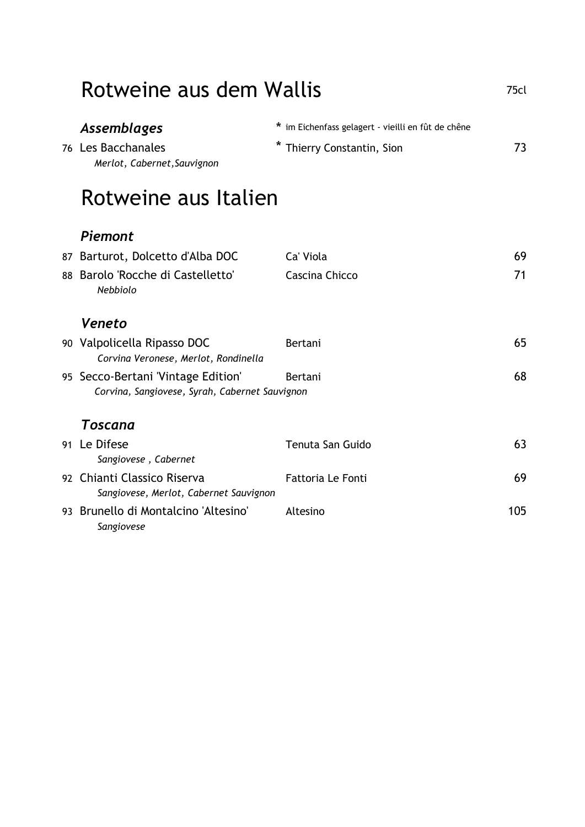| Rotweine aus dem Wallis                                                              |                                                                                |     |
|--------------------------------------------------------------------------------------|--------------------------------------------------------------------------------|-----|
| Assemblages<br>76 Les Bacchanales<br>Merlot, Cabernet, Sauvignon                     | * im Eichenfass gelagert - vieilli en fût de chêne<br>Thierry Constantin, Sion | 73  |
| Rotweine aus Italien                                                                 |                                                                                |     |
| Piemont                                                                              |                                                                                |     |
| 87 Barturot, Dolcetto d'Alba DOC                                                     | Ca' Viola                                                                      | 69  |
| 88 Barolo 'Rocche di Castelletto'<br>Nebbiolo                                        | Cascina Chicco                                                                 | 71  |
| Veneto                                                                               |                                                                                |     |
| 90 Valpolicella Ripasso DOC<br>Corvina Veronese, Merlot, Rondinella                  | Bertani                                                                        | 65  |
| 95 Secco-Bertani 'Vintage Edition'<br>Corvina, Sangiovese, Syrah, Cabernet Sauvignon | Bertani                                                                        | 68  |
| Toscana                                                                              |                                                                                |     |
| 91 Le Difese<br>Sangiovese, Cabernet                                                 | Tenuta San Guido                                                               | 63  |
| 92 Chianti Classico Riserva<br>Sangiovese, Merlot, Cabernet Sauvignon                | <b>Fattoria Le Fonti</b>                                                       | 69  |
| 93 Brunello di Montalcino 'Altesino'<br>Sangiovese                                   | Altesino                                                                       | 105 |